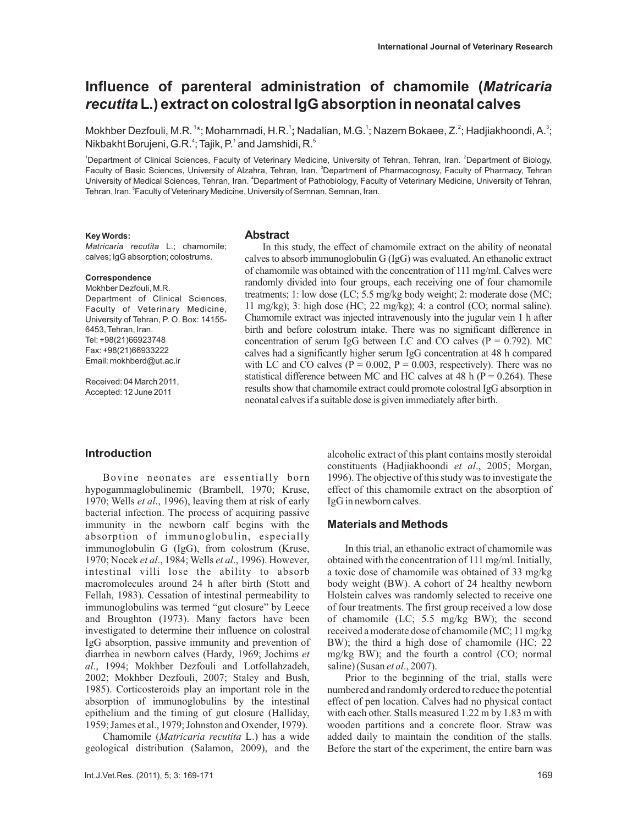# **Influence of parenteral administration of chamomile (** *Matricaria* **L.) extract on colostral IgG absorption in neonatal calves** *recutita*

Mokhber Dezfouli, M.R. <sup>1</sup>\*; Mohammadi, H.R. <sup>1</sup>; Nadalian, M.G. <sup>1</sup>; Nazem Bokaee, Z. <sup>2</sup>; Hadjiakhoondi, A. <sup>3</sup>; Nikbakht Borujeni, G.R. $\displaystyle{^{4}}$ ; Tajik, P. $\displaystyle{^{1}}$  and Jamshidi, R. $\displaystyle{^{5}}$ 

<sup>1</sup>Department of Clinical Sciences, Faculty of Veterinary Medicine, University of Tehran, Tehran, Iran. <sup>2</sup>Department of Biology, Faculty of Basic Sciences, University of Alzahra, Tehran, Iran. <sup>3</sup>Department of Pharmacognosy, Faculty of Pharmacy, Tehran University of Medical Sciences, Tehran, Iran. <sup>4</sup>Department of Pathobiology, Faculty of Veterinary Medicine, University of Tehran, Tehran, Iran. <sup>5</sup>Faculty of Veterinary Medicine, University of Semnan, Semnan, Iran.

#### **Key Words:**

*Matricaria recutita* L.; chamomile; calves; IgG absorption; colostrums.

#### **Correspondence**

Mokhber Dezfouli, M.R. Department of Clinical Sciences, Faculty of Veterinary Medicine, University of Tehran, P. O. Box: 14155- 6453, Tehran, Iran. Tel: +98(21)66923748 Fax: +98(21)66933222 Email: mokhberd@ut.ac.ir

Received: 04 March 2011, Accepted: 12 June 2011

#### **Abstract**

In this study, the effect of chamomile extract on the ability of neonatal calves to absorb immunoglobulin G (IgG) was evaluated. An ethanolic extract of chamomile was obtained with the concentration of 111 mg/ml. Calves were randomly divided into four groups, each receiving one of four chamomile treatments; 1: low dose (LC; 5.5 mg/kg body weight; 2: moderate dose (MC; 11 mg/kg); 3: high dose (HC; 22 mg/kg); 4: a control (CO; normal saline). Chamomile extract was injected intravenously into the jugular vein 1 h after birth and before colostrum intake. There was no significant difference in concentration of serum IgG between LC and CO calves ( $P = 0.792$ ). MC calves had a significantly higher serum IgG concentration at 48 h compared with LC and CO calves ( $P = 0.002$ ,  $P = 0.003$ , respectively). There was no statistical difference between MC and HC calves at 48 h ( $P = 0.264$ ). These results show that chamomile extract could promote colostral IgG absorption in neonatal calves if a suitable dose is given immediately after birth.

### **Introduction**

Bovine neonates are essentially born hypogammaglobulinemic (Brambell, 1970; Kruse, 1970; Wells et al., 1996), leaving them at risk of early bacterial infection. The process of acquiring passive immunity in the newborn calf begins with the absorption of immunoglobulin, especially immunoglobulin G (IgG), from colostrum (Kruse, 1970; Nocek et al., 1984; Wells et al., 1996). However, intestinal villi lose the ability to absorb macromolecules around 24 h after birth (Stott and Fellah, 1983). Cessation of intestinal permeability to immunoglobulins was termed "gut closure" by Leece and Broughton (1973). Many factors have been investigated to determine their influence on colostral IgG absorption, passive immunity and prevention of diarrhea in newborn calves (Hardy, 1969; Jochims *et* ., 1994; Mokhber Dezfouli and Lotfollahzadeh, *al* 2002; Mokhber Dezfouli, 2007; Staley and Bush, 1985). Corticosteroids play an important role in the absorption of immunoglobulins by the intestinal epithelium and the timing of gut closure (Halliday, 1959; James et al., 1979; Johnston and Oxender, 1979).

Chamomile (Matricaria recutita L.) has a wide geological distribution (Salamon, 2009), and the alcoholic extract of this plant contains mostly steroidal constituents (Hadjiakhoondi et al., 2005; Morgan, 1996). The objective of this study was to investigate the effect of this chamomile extract on the absorption of IgG in newborn calves.

## **Materials and Methods**

In this trial, an ethanolic extract of chamomile was obtained with the concentration of 111 mg/ml. Initially, a toxic dose of chamomile was obtained of 33 mg/kg body weight (BW). A cohort of 24 healthy newborn Holstein calves was randomly selected to receive one of four treatments. The first group received a low dose of chamomile (LC; 5.5 mg/kg BW); the second received a moderate dose of chamomile (MC; 11 mg/kg BW); the third a high dose of chamomile (HC; 22 mg/kg BW); and the fourth a control (CO; normal saline) (Susan et al., 2007).

Prior to the beginning of the trial, stalls were numbered and randomly ordered to reduce the potential effect of pen location. Calves had no physical contact with each other. Stalls measured 1.22 m by 1.83 m with wooden partitions and a concrete floor. Straw was added daily to maintain the condition of the stalls. Before the start of the experiment, the entire barn was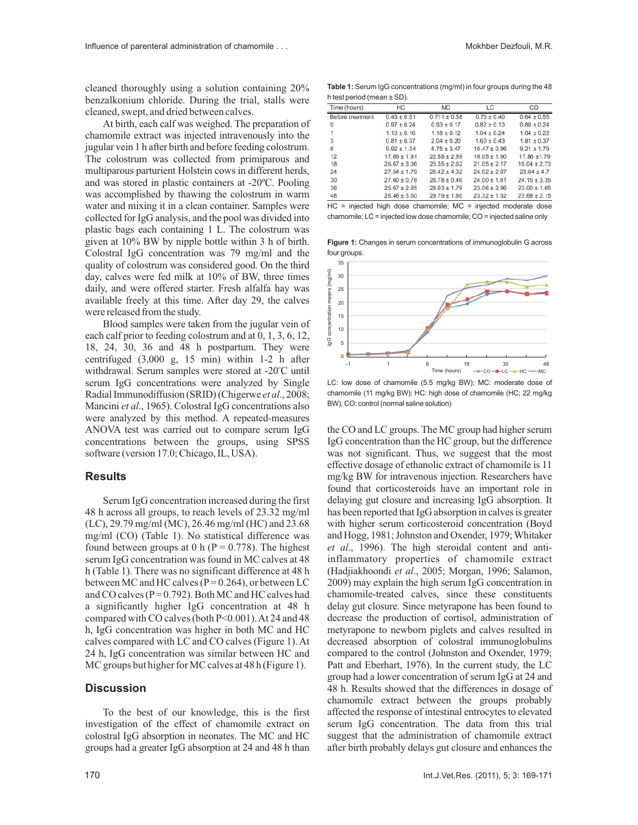cleaned thoroughly using a solution containing 20% benzalkonium chloride. During the trial, stalls were cleaned, swept, and dried between calves.

At birth, each calf was weighed. The preparation of chamomile extract was injected intravenously into the jugular vein 1 h after birth and before feeding colostrum. The colostrum was collected from primiparous and multiparous parturient Holstein cows in different herds, and was stored in plastic containers at -20ºC. Pooling was accomplished by thawing the colostrum in warm water and mixing it in a clean container. Samples were collected for IgG analysis, and the pool was divided into plastic bags each containing 1 L. The colostrum was given at 10% BW by nipple bottle within 3 h of birth. Colostral IgG concentration was 79 mg/ml and the quality of colostrum was considered good. On the third day, calves were fed milk at 10% of BW, three times daily, and were offered starter. Fresh alfalfa hay was available freely at this time. After day 29, the calves were released from the study.

Blood samples were taken from the jugular vein of each calf prior to feeding colostrum and at 0, 1, 3, 6, 12, 18, 24, 30, 36 and 48 h postpartum. They were centrifuged (3,000 g, 15 min) within 1-2 h after withdrawal. Serum samples were stored at -20°C until serum IgG concentrations were analyzed by Single Radial Immunodiffusion (SRID) (Chigerwe et al., 2008; Mancini et al., 1965). Colostral IgG concentrations also were analyzed by this method. A repeated-measures ANOVA test was carried out to compare serum IgG concentrations between the groups, using SPSS software (version 17.0; Chicago, IL, USA).

### **Results**

Serum IgG concentration increased during the first 48 h across all groups, to reach levels of 23.32 mg/ml (LC), 29.79 mg/ml (MC), 26.46 mg/ml (HC) and 23.68 mg/ml (CO) (Table 1). No statistical difference was found between groups at 0 h ( $P = 0.778$ ). The highest serum IgG concentration was found in MC calves at 48 h (Table 1). There was no significant difference at 48 h between MC and HC calves ( $P = 0.264$ ), or between LC and CO calves ( $P = 0.792$ ). Both MC and HC calves had a significantly higher IgG concentration at 48 h compared with CO calves (both P<0.001).At 24 and 48 h, IgG concentration was higher in both MC and HC calves compared with LC and CO calves (Figure 1). At 24 h, IgG concentration was similar between HC and MC groups but higher for MC calves at 48 h (Figure 1).

## **Discussion**

To the best of our knowledge, this is the first investigation of the effect of chamomile extract on colostral IgG absorption in neonates. The MC and HC groups had a greater IgG absorption at 24 and 48 h than

**Table 1:** Serum IgG concentrations (mg/ml) in four groups during the 48 h test period (mean ± SD).

| Time (hours)     | HC               | <b>MC</b>        | LC               | CO               |
|------------------|------------------|------------------|------------------|------------------|
| Before treatment | $0.43 \pm 0.51$  | $0.711 \pm 0.58$ | $0.70 \pm 0.40$  | $0.64 \pm 0.55$  |
| 0                | $0.97 \pm 0.24$  | $0.93 \pm 0.17$  | $0.82 \pm 0.13$  | $0.80 \pm 0.24$  |
|                  | $1.13 \pm 0.16$  | $1.18 \pm 0.12$  | $1.04 \pm 0.24$  | $1.04 \pm 0.22$  |
| з                | $0.81 \pm 0.37$  | $2.04 \pm 0.20$  | $1.60 \pm 0.43$  | $1.81 \pm 0.37$  |
| 6                | $9.92 \pm 1.34$  | $8.75 \pm 3.47$  | $10.47 \pm 0.96$ | $9.21 \pm 1.79$  |
| 12               | $17.69 \pm 1.91$ | $22.58 \pm 2.89$ | $19.05 \pm 1.90$ | $17.86 + 1.79$   |
| 18               | $26.67 \pm 3.36$ | $25.35 \pm 2.62$ | $21.05 \pm 2.17$ | $19.04 \pm 2.73$ |
| 24               | $27.54 \pm 1.79$ | $26.42 \pm 4.32$ | $24.02 \pm 2.07$ | $23.04 \pm 4.7$  |
| 30               | $27.60 \pm 0.78$ | $28.78 \pm 0.46$ | $24.00 \pm 1.61$ | $24.15 \pm 3.35$ |
| 36               | $25.67 \pm 2.85$ | $28.03 \pm 1.79$ | $23.06 \pm 2.96$ | $23.00 \pm 1.65$ |
| 48               | $26.46 \pm 3.50$ | $29.79 \pm 1.80$ | $23.32 \pm 1.52$ | $23.68 \pm 2.15$ |

HC = injected high dose chamomile; MC = injected moderate dose chamomile; LC = injected low dose chamomile; CO = injected saline only

**Figure 1:** Changes in serum concentrations of immunoglobulin G across four groups.



LC: low dose of chamomile (5.5 mg/kg BW); MC: moderate dose of chamomile (11 mg/kg BW); HC: high dose of chamomile (HC; 22 mg/kg BW); CO: control (normal saline solution)

the CO and LC groups. The MC group had higher serum IgG concentration than the HC group, but the difference was not significant. Thus, we suggest that the most effective dosage of ethanolic extract of chamomile is 11 mg/kg BW for intravenous injection. Researchers have found that corticosteroids have an important role in delaying gut closure and increasing IgG absorption. It has been reported that IgG absorption in calves is greater with higher serum corticosteroid concentration (Boyd and Hogg, 1981; Johnston and Oxender, 1979; Whitaker et al., 1996). The high steroidal content and antiinflammatory properties of chamomile extract (Hadjiakhoondi et al., 2005; Morgan, 1996; Salamon, 2009) may explain the high serum IgG concentration in chamomile-treated calves, since these constituents delay gut closure. Since metyrapone has been found to decrease the production of cortisol, administration of metyrapone to newborn piglets and calves resulted in decreased absorption of colostral immunoglobulins compared to the control (Johnston and Oxender, 1979; Patt and Eberhart, 1976). In the current study, the LC group had a lower concentration of serum IgG at 24 and 48 h. Results showed that the differences in dosage of chamomile extract between the groups probably affected the response of intestinal entrocytes to elevated serum IgG concentration. The data from this trial suggest that the administration of chamomile extract after birth probably delays gut closure and enhances the